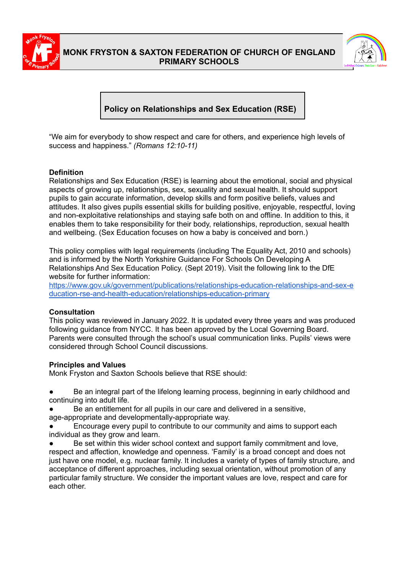

## **MONK FRYSTON & SAXTON FEDERATION OF CHURCH OF ENGLAND PRIMARY SCHOOLS**



# **Policy on Relationships and Sex Education (RSE)**

"We aim for everybody to show respect and care for others, and experience high levels of success and happiness." *(Romans 12:10-11)*

### **Definition**

Relationships and Sex Education (RSE) is learning about the emotional, social and physical aspects of growing up, relationships, sex, sexuality and sexual health. It should support pupils to gain accurate information, develop skills and form positive beliefs, values and attitudes. It also gives pupils essential skills for building positive, enjoyable, respectful, loving and non-exploitative relationships and staying safe both on and offline. In addition to this, it enables them to take responsibility for their body, relationships, reproduction, sexual health and wellbeing. (Sex Education focuses on how a baby is conceived and born.)

This policy complies with legal requirements (including The Equality Act, 2010 and schools) and is informed by the North Yorkshire Guidance For Schools On Developing A Relationships And Sex Education Policy. (Sept 2019). Visit the following link to the DfE website for further information:

[https://www.gov.uk/government/publications/relationships-education-relationships-and-sex-e](https://www.gov.uk/government/publications/relationships-education-relationships-and-sex-education-rse-and-health-education/relationships-education-primary) [ducation-rse-and-health-education/relationships-education-primary](https://www.gov.uk/government/publications/relationships-education-relationships-and-sex-education-rse-and-health-education/relationships-education-primary)

#### **Consultation**

This policy was reviewed in January 2022. It is updated every three years and was produced following guidance from NYCC. It has been approved by the Local Governing Board. Parents were consulted through the school's usual communication links. Pupils' views were considered through School Council discussions.

#### **Principles and Values**

Monk Fryston and Saxton Schools believe that RSE should:

- Be an integral part of the lifelong learning process, beginning in early childhood and continuing into adult life.
- Be an entitlement for all pupils in our care and delivered in a sensitive,

age-appropriate and developmentally-appropriate way.

Encourage every pupil to contribute to our community and aims to support each individual as they grow and learn.

Be set within this wider school context and support family commitment and love, respect and affection, knowledge and openness. 'Family' is a broad concept and does not just have one model, e.g. nuclear family. It includes a variety of types of family structure, and acceptance of different approaches, including sexual orientation, without promotion of any particular family structure. We consider the important values are love, respect and care for each other.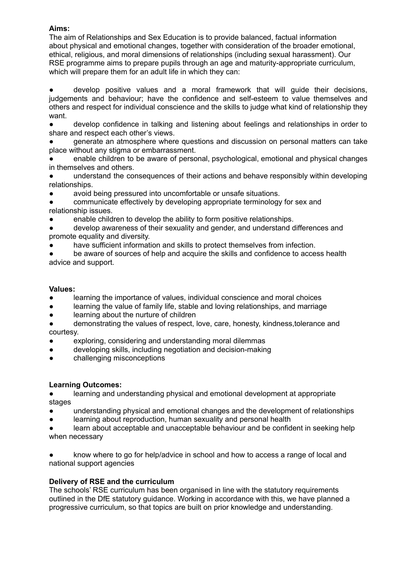## **Aims:**

The aim of Relationships and Sex Education is to provide balanced, factual information about physical and emotional changes, together with consideration of the broader emotional, ethical, religious, and moral dimensions of relationships (including sexual harassment). Our RSE programme aims to prepare pupils through an age and maturity-appropriate curriculum, which will prepare them for an adult life in which they can:

develop positive values and a moral framework that will quide their decisions, judgements and behaviour; have the confidence and self-esteem to value themselves and others and respect for individual conscience and the skills to judge what kind of relationship they want.

● develop confidence in talking and listening about feelings and relationships in order to share and respect each other's views.

generate an atmosphere where questions and discussion on personal matters can take place without any stigma or embarrassment.

enable children to be aware of personal, psychological, emotional and physical changes in themselves and others.

understand the consequences of their actions and behave responsibly within developing relationships.

avoid being pressured into uncomfortable or unsafe situations.

communicate effectively by developing appropriate terminology for sex and relationship issues.

enable children to develop the ability to form positive relationships.

develop awareness of their sexuality and gender, and understand differences and promote equality and diversity.

have sufficient information and skills to protect themselves from infection.

be aware of sources of help and acquire the skills and confidence to access health advice and support.

#### **Values:**

- learning the importance of values, individual conscience and moral choices
- learning the value of family life, stable and loving relationships, and marriage
- learning about the nurture of children
- demonstrating the values of respect, love, care, honesty, kindness, tolerance and courtesy.
- exploring, considering and understanding moral dilemmas
- developing skills, including negotiation and decision-making
- challenging misconceptions

## **Learning Outcomes:**

learning and understanding physical and emotional development at appropriate stages

- understanding physical and emotional changes and the development of relationships
- learning about reproduction, human sexuality and personal health

learn about acceptable and unacceptable behaviour and be confident in seeking help when necessary

know where to go for help/advice in school and how to access a range of local and national support agencies

## **Delivery of RSE and the curriculum**

The schools' RSE curriculum has been organised in line with the statutory requirements outlined in the DfE statutory guidance. Working in accordance with this, we have planned a progressive curriculum, so that topics are built on prior knowledge and understanding.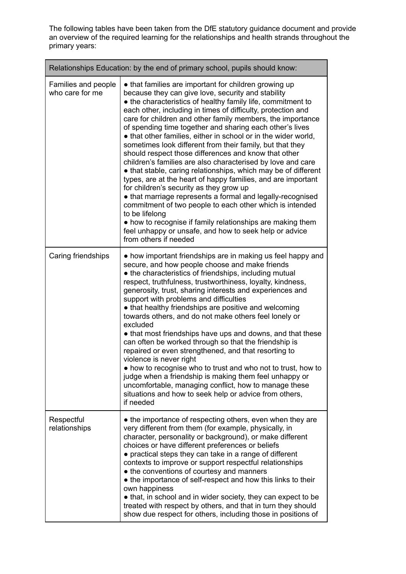The following tables have been taken from the DfE statutory guidance document and provide an overview of the required learning for the relationships and health strands throughout the primary years:

| Relationships Education: by the end of primary school, pupils should know: |                                                                                                                                                                                                                                                                                                                                                                                                                                                                                                                                                                                                                                                                                                                                                                                                                                                                                                                                                                                                                                                                                                      |  |
|----------------------------------------------------------------------------|------------------------------------------------------------------------------------------------------------------------------------------------------------------------------------------------------------------------------------------------------------------------------------------------------------------------------------------------------------------------------------------------------------------------------------------------------------------------------------------------------------------------------------------------------------------------------------------------------------------------------------------------------------------------------------------------------------------------------------------------------------------------------------------------------------------------------------------------------------------------------------------------------------------------------------------------------------------------------------------------------------------------------------------------------------------------------------------------------|--|
| Families and people<br>who care for me                                     | • that families are important for children growing up<br>because they can give love, security and stability<br>• the characteristics of healthy family life, commitment to<br>each other, including in times of difficulty, protection and<br>care for children and other family members, the importance<br>of spending time together and sharing each other's lives<br>• that other families, either in school or in the wider world,<br>sometimes look different from their family, but that they<br>should respect those differences and know that other<br>children's families are also characterised by love and care<br>• that stable, caring relationships, which may be of different<br>types, are at the heart of happy families, and are important<br>for children's security as they grow up<br>• that marriage represents a formal and legally-recognised<br>commitment of two people to each other which is intended<br>to be lifelong<br>• how to recognise if family relationships are making them<br>feel unhappy or unsafe, and how to seek help or advice<br>from others if needed |  |
| Caring friendships                                                         | • how important friendships are in making us feel happy and<br>secure, and how people choose and make friends<br>• the characteristics of friendships, including mutual<br>respect, truthfulness, trustworthiness, loyalty, kindness,<br>generosity, trust, sharing interests and experiences and<br>support with problems and difficulties<br>• that healthy friendships are positive and welcoming<br>towards others, and do not make others feel lonely or<br>excluded<br>• that most friendships have ups and downs, and that these<br>can often be worked through so that the friendship is<br>repaired or even strengthened, and that resorting to<br>violence is never right<br>. how to recognise who to trust and who not to trust, how to<br>judge when a friendship is making them feel unhappy or<br>uncomfortable, managing conflict, how to manage these<br>situations and how to seek help or advice from others,<br>if needed                                                                                                                                                        |  |
| Respectful<br>relationships                                                | • the importance of respecting others, even when they are<br>very different from them (for example, physically, in<br>character, personality or background), or make different<br>choices or have different preferences or beliefs<br>• practical steps they can take in a range of different<br>contexts to improve or support respectful relationships<br>• the conventions of courtesy and manners<br>• the importance of self-respect and how this links to their<br>own happiness<br>• that, in school and in wider society, they can expect to be<br>treated with respect by others, and that in turn they should<br>show due respect for others, including those in positions of                                                                                                                                                                                                                                                                                                                                                                                                              |  |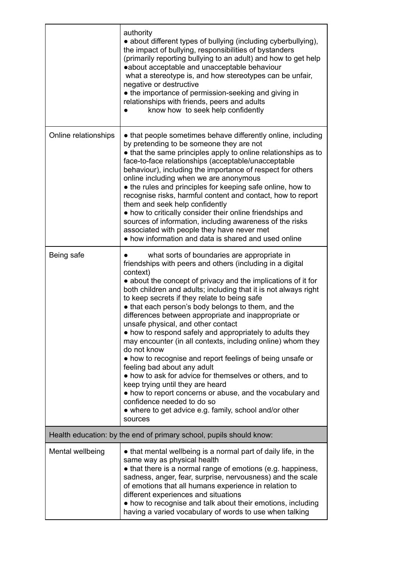|                                                                     | authority<br>· about different types of bullying (including cyberbullying),<br>the impact of bullying, responsibilities of bystanders<br>(primarily reporting bullying to an adult) and how to get help<br>·about acceptable and unacceptable behaviour<br>what a stereotype is, and how stereotypes can be unfair,<br>negative or destructive<br>• the importance of permission-seeking and giving in<br>relationships with friends, peers and adults<br>know how to seek help confidently                                                                                                                                                                                                                                                                                                                                                                                                                                                                        |  |
|---------------------------------------------------------------------|--------------------------------------------------------------------------------------------------------------------------------------------------------------------------------------------------------------------------------------------------------------------------------------------------------------------------------------------------------------------------------------------------------------------------------------------------------------------------------------------------------------------------------------------------------------------------------------------------------------------------------------------------------------------------------------------------------------------------------------------------------------------------------------------------------------------------------------------------------------------------------------------------------------------------------------------------------------------|--|
| Online relationships                                                | • that people sometimes behave differently online, including<br>by pretending to be someone they are not<br>• that the same principles apply to online relationships as to<br>face-to-face relationships (acceptable/unacceptable<br>behaviour), including the importance of respect for others<br>online including when we are anonymous<br>• the rules and principles for keeping safe online, how to<br>recognise risks, harmful content and contact, how to report<br>them and seek help confidently<br>• how to critically consider their online friendships and<br>sources of information, including awareness of the risks<br>associated with people they have never met<br>• how information and data is shared and used online                                                                                                                                                                                                                            |  |
| Being safe                                                          | what sorts of boundaries are appropriate in<br>friendships with peers and others (including in a digital<br>context)<br>• about the concept of privacy and the implications of it for<br>both children and adults; including that it is not always right<br>to keep secrets if they relate to being safe<br>• that each person's body belongs to them, and the<br>differences between appropriate and inappropriate or<br>unsafe physical, and other contact<br>• how to respond safely and appropriately to adults they<br>may encounter (in all contexts, including online) whom they<br>do not know<br>• how to recognise and report feelings of being unsafe or<br>feeling bad about any adult<br>• how to ask for advice for themselves or others, and to<br>keep trying until they are heard<br>• how to report concerns or abuse, and the vocabulary and<br>confidence needed to do so<br>• where to get advice e.g. family, school and/or other<br>sources |  |
| Health education: by the end of primary school, pupils should know: |                                                                                                                                                                                                                                                                                                                                                                                                                                                                                                                                                                                                                                                                                                                                                                                                                                                                                                                                                                    |  |
| Mental wellbeing                                                    | • that mental wellbeing is a normal part of daily life, in the<br>same way as physical health<br>• that there is a normal range of emotions (e.g. happiness,<br>sadness, anger, fear, surprise, nervousness) and the scale<br>of emotions that all humans experience in relation to<br>different experiences and situations<br>• how to recognise and talk about their emotions, including<br>having a varied vocabulary of words to use when talking                                                                                                                                                                                                                                                                                                                                                                                                                                                                                                              |  |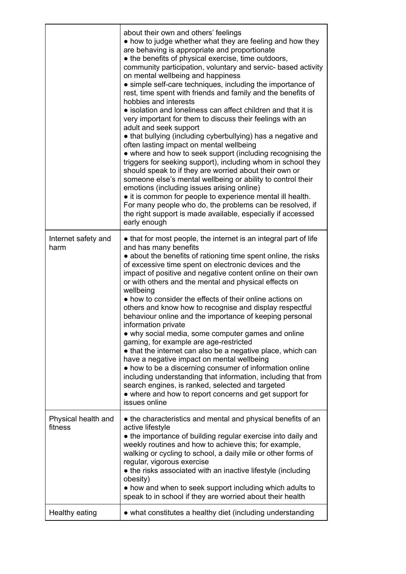|                                | about their own and others' feelings<br>• how to judge whether what they are feeling and how they<br>are behaving is appropriate and proportionate<br>• the benefits of physical exercise, time outdoors,<br>community participation, voluntary and servic- based activity<br>on mental wellbeing and happiness<br>• simple self-care techniques, including the importance of<br>rest, time spent with friends and family and the benefits of<br>hobbies and interests<br>• isolation and loneliness can affect children and that it is<br>very important for them to discuss their feelings with an<br>adult and seek support<br>• that bullying (including cyberbullying) has a negative and<br>often lasting impact on mental wellbeing<br>• where and how to seek support (including recognising the<br>triggers for seeking support), including whom in school they<br>should speak to if they are worried about their own or<br>someone else's mental wellbeing or ability to control their<br>emotions (including issues arising online)<br>• it is common for people to experience mental ill health.<br>For many people who do, the problems can be resolved, if<br>the right support is made available, especially if accessed<br>early enough |
|--------------------------------|----------------------------------------------------------------------------------------------------------------------------------------------------------------------------------------------------------------------------------------------------------------------------------------------------------------------------------------------------------------------------------------------------------------------------------------------------------------------------------------------------------------------------------------------------------------------------------------------------------------------------------------------------------------------------------------------------------------------------------------------------------------------------------------------------------------------------------------------------------------------------------------------------------------------------------------------------------------------------------------------------------------------------------------------------------------------------------------------------------------------------------------------------------------------------------------------------------------------------------------------------------|
| Internet safety and<br>harm    | • that for most people, the internet is an integral part of life<br>and has many benefits<br>• about the benefits of rationing time spent online, the risks<br>of excessive time spent on electronic devices and the<br>impact of positive and negative content online on their own<br>or with others and the mental and physical effects on<br>wellbeing<br>• how to consider the effects of their online actions on<br>others and know how to recognise and display respectful<br>behaviour online and the importance of keeping personal<br>information private<br>. why social media, some computer games and online<br>gaming, for example are age-restricted<br>• that the internet can also be a negative place, which can<br>have a negative impact on mental wellbeing<br>• how to be a discerning consumer of information online<br>including understanding that information, including that from<br>search engines, is ranked, selected and targeted<br>• where and how to report concerns and get support for<br>issues online                                                                                                                                                                                                               |
| Physical health and<br>fitness | • the characteristics and mental and physical benefits of an<br>active lifestyle<br>• the importance of building regular exercise into daily and<br>weekly routines and how to achieve this; for example,<br>walking or cycling to school, a daily mile or other forms of<br>regular, vigorous exercise<br>• the risks associated with an inactive lifestyle (including<br>obesity)<br>• how and when to seek support including which adults to<br>speak to in school if they are worried about their health                                                                                                                                                                                                                                                                                                                                                                                                                                                                                                                                                                                                                                                                                                                                             |
| Healthy eating                 | • what constitutes a healthy diet (including understanding                                                                                                                                                                                                                                                                                                                                                                                                                                                                                                                                                                                                                                                                                                                                                                                                                                                                                                                                                                                                                                                                                                                                                                                               |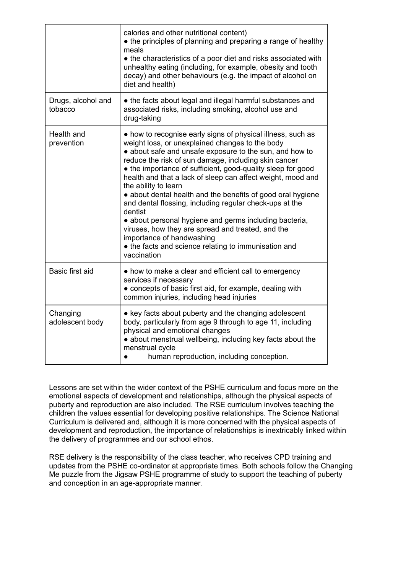|                               | calories and other nutritional content)<br>• the principles of planning and preparing a range of healthy<br>meals<br>• the characteristics of a poor diet and risks associated with<br>unhealthy eating (including, for example, obesity and tooth<br>decay) and other behaviours (e.g. the impact of alcohol on<br>diet and health)                                                                                                                                                                                                                                                                                                                                                                                                            |
|-------------------------------|-------------------------------------------------------------------------------------------------------------------------------------------------------------------------------------------------------------------------------------------------------------------------------------------------------------------------------------------------------------------------------------------------------------------------------------------------------------------------------------------------------------------------------------------------------------------------------------------------------------------------------------------------------------------------------------------------------------------------------------------------|
| Drugs, alcohol and<br>tobacco | • the facts about legal and illegal harmful substances and<br>associated risks, including smoking, alcohol use and<br>drug-taking                                                                                                                                                                                                                                                                                                                                                                                                                                                                                                                                                                                                               |
| Health and<br>prevention      | • how to recognise early signs of physical illness, such as<br>weight loss, or unexplained changes to the body<br>• about safe and unsafe exposure to the sun, and how to<br>reduce the risk of sun damage, including skin cancer<br>• the importance of sufficient, good-quality sleep for good<br>health and that a lack of sleep can affect weight, mood and<br>the ability to learn<br>• about dental health and the benefits of good oral hygiene<br>and dental flossing, including regular check-ups at the<br>dentist<br>· about personal hygiene and germs including bacteria,<br>viruses, how they are spread and treated, and the<br>importance of handwashing<br>• the facts and science relating to immunisation and<br>vaccination |
| Basic first aid               | • how to make a clear and efficient call to emergency<br>services if necessary<br>• concepts of basic first aid, for example, dealing with<br>common injuries, including head injuries                                                                                                                                                                                                                                                                                                                                                                                                                                                                                                                                                          |
| Changing<br>adolescent body   | • key facts about puberty and the changing adolescent<br>body, particularly from age 9 through to age 11, including<br>physical and emotional changes<br>• about menstrual wellbeing, including key facts about the<br>menstrual cycle<br>human reproduction, including conception.                                                                                                                                                                                                                                                                                                                                                                                                                                                             |

Lessons are set within the wider context of the PSHE curriculum and focus more on the emotional aspects of development and relationships, although the physical aspects of puberty and reproduction are also included. The RSE curriculum involves teaching the children the values essential for developing positive relationships. The Science National Curriculum is delivered and, although it is more concerned with the physical aspects of development and reproduction, the importance of relationships is inextricably linked within the delivery of programmes and our school ethos.

RSE delivery is the responsibility of the class teacher, who receives CPD training and updates from the PSHE co-ordinator at appropriate times. Both schools follow the Changing Me puzzle from the Jigsaw PSHE programme of study to support the teaching of puberty and conception in an age-appropriate manner.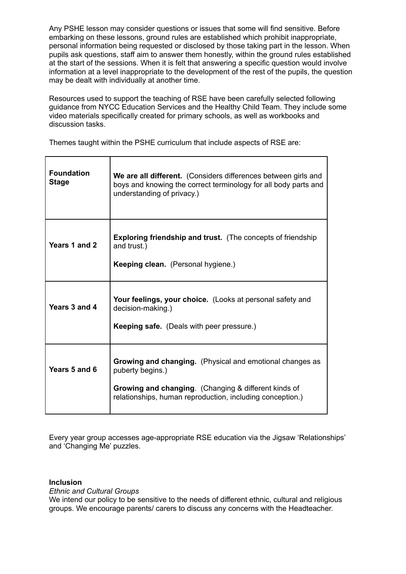Any PSHE lesson may consider questions or issues that some will find sensitive. Before embarking on these lessons, ground rules are established which prohibit inappropriate, personal information being requested or disclosed by those taking part in the lesson. When pupils ask questions, staff aim to answer them honestly, within the ground rules established at the start of the sessions. When it is felt that answering a specific question would involve information at a level inappropriate to the development of the rest of the pupils, the question may be dealt with individually at another time.

Resources used to support the teaching of RSE have been carefully selected following guidance from NYCC Education Services and the Healthy Child Team. They include some video materials specifically created for primary schools, as well as workbooks and discussion tasks.

Themes taught within the PSHE curriculum that include aspects of RSE are:

| <b>Foundation</b><br><b>Stage</b> | We are all different. (Considers differences between girls and<br>boys and knowing the correct terminology for all body parts and<br>understanding of privacy.)                                                 |
|-----------------------------------|-----------------------------------------------------------------------------------------------------------------------------------------------------------------------------------------------------------------|
| Years 1 and 2                     | <b>Exploring friendship and trust.</b> (The concepts of friendship<br>and trust.)<br>Keeping clean. (Personal hygiene.)                                                                                         |
| Years 3 and 4                     | Your feelings, your choice. (Looks at personal safety and<br>decision-making.)<br><b>Keeping safe.</b> (Deals with peer pressure.)                                                                              |
| Years 5 and 6                     | <b>Growing and changing.</b> (Physical and emotional changes as<br>puberty begins.)<br><b>Growing and changing.</b> (Changing & different kinds of<br>relationships, human reproduction, including conception.) |

Every year group accesses age-appropriate RSE education via the Jigsaw 'Relationships' and 'Changing Me' puzzles.

#### **Inclusion**

*Ethnic and Cultural Groups*

We intend our policy to be sensitive to the needs of different ethnic, cultural and religious groups. We encourage parents/ carers to discuss any concerns with the Headteacher.